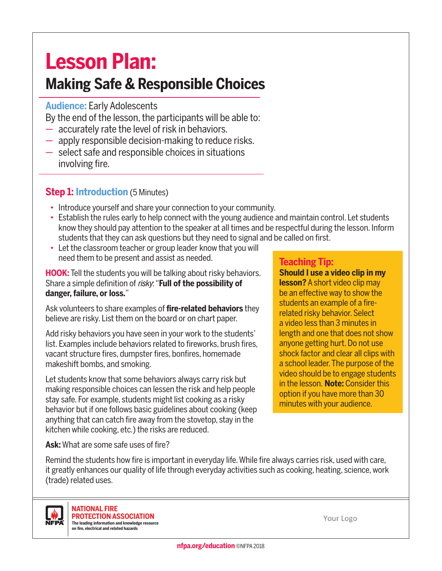# **Lesson Plan:**

# **Making Safe & Responsible Choices**

# **Audience:** Early Adolescents

By the end of the lesson, the participants will be able to:

- accurately rate the level of risk in behaviors.
- apply responsible decision-making to reduce risks.
- select safe and responsible choices in situations involving fire.

### **Step 1: Introduction** (5 Minutes)

- Introduce yourself and share your connection to your community.
- Establish the rules early to help connect with the young audience and maintain control. Let students know they should pay attention to the speaker at all times and be respectful during the lesson. Inform students that they can ask questions but they need to signal and be called on first.
- Let the classroom teacher or group leader know that you will need them to be present and assist as needed.

**HOOK:** Tell the students you will be talking about risky behaviors. Share a simple definition of *risky*: "**Full of the possibility of danger, failure, or loss.**"

Ask volunteers to share examples of **fire-related behaviors** they believe are risky. List them on the board or on chart paper.

Add risky behaviors you have seen in your work to the students' list. Examples include behaviors related to fireworks, brush fires, vacant structure fires, dumpster fires, bonfires, homemade makeshift bombs, and smoking.

Let students know that some behaviors always carry risk but making responsible choices can lessen the risk and help people stay safe. For example, students might list cooking as a risky behavior but if one follows basic guidelines about cooking (keep anything that can catch fire away from the stovetop, stay in the kitchen while cooking, etc.) the risks are reduced.

#### **Teaching Tip:**

**Should I use a video clip in my lesson?** A short video clip may be an effective way to show the students an example of a firerelated risky behavior. Select a video less than 3 minutes in length and one that does not show anyone getting hurt. Do not use shock factor and clear all clips with a school leader. The purpose of the video should be to engage students in the lesson. **Note:** Consider this option if you have more than 30 minutes with your audience.

**Ask:** What are some safe uses of fire?

Remind the students how fire is important in everyday life. While fire always carries risk, used with care, it greatly enhances our quality of life through everyday activities such as cooking, heating, science, work (trade) related uses.



**NATIONAL FIRE PROTECTION ASSOCIATION The leading information and knowledge resource on fire, electrical and related hazards**

Your Logo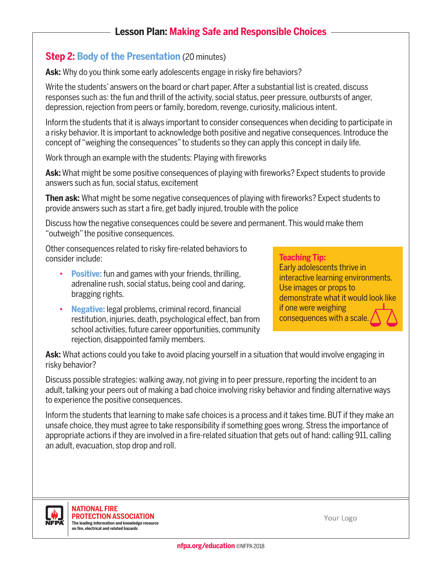# **Lesson Plan: Making Safe and Responsible Choices**

#### **Step 2: Body of the Presentation** (20 minutes)

Ask: Why do you think some early adolescents engage in risky fire behaviors?

Write the students' answers on the board or chart paper. After a substantial list is created, discuss responses such as: the fun and thrill of the activity, social status, peer pressure, outbursts of anger, depression, rejection from peers or family, boredom, revenge, curiosity, malicious intent.

Inform the students that it is always important to consider consequences when deciding to participate in a risky behavior. It is important to acknowledge both positive and negative consequences. Introduce the concept of "weighing the consequences" to students so they can apply this concept in daily life.

Work through an example with the students: Playing with fireworks

**Ask:** What might be some positive consequences of playing with fireworks? Expect students to provide answers such as fun, social status, excitement

**Then ask:** What might be some negative consequences of playing with fireworks? Expect students to provide answers such as start a fire, get badly injured, trouble with the police

Discuss how the negative consequences could be severe and permanent. This would make them "outweigh" the positive consequences.

Other consequences related to risky fire-related behaviors to consider include:

- **Positive:** fun and games with your friends, thrilling, adrenaline rush, social status, being cool and daring, bragging rights.
- **Negative:** legal problems, criminal record, financial restitution, injuries, death, psychological effect, ban from school activities, future career opportunities, community rejection, disappointed family members.

#### **Teaching Tip:**

Early adolescents thrive in interactive learning environments. Use images or props to demonstrate what it would look like if one were weighing consequences with a scale.

Ask: What actions could you take to avoid placing yourself in a situation that would involve engaging in risky behavior?

Discuss possible strategies: walking away, not giving in to peer pressure, reporting the incident to an adult, talking your peers out of making a bad choice involving risky behavior and finding alternative ways to experience the positive consequences.

Inform the students that learning to make safe choices is a process and it takes time. BUT if they make an unsafe choice, they must agree to take responsibility if something goes wrong. Stress the importance of appropriate actions if they are involved in a fire-related situation that gets out of hand: calling 911, calling an adult, evacuation, stop drop and roll.



**NATIONAL FIRE PROTECTION ASSOCIATION The leading information and knowledge resource on fire, electrical and related hazards**

Your Logo